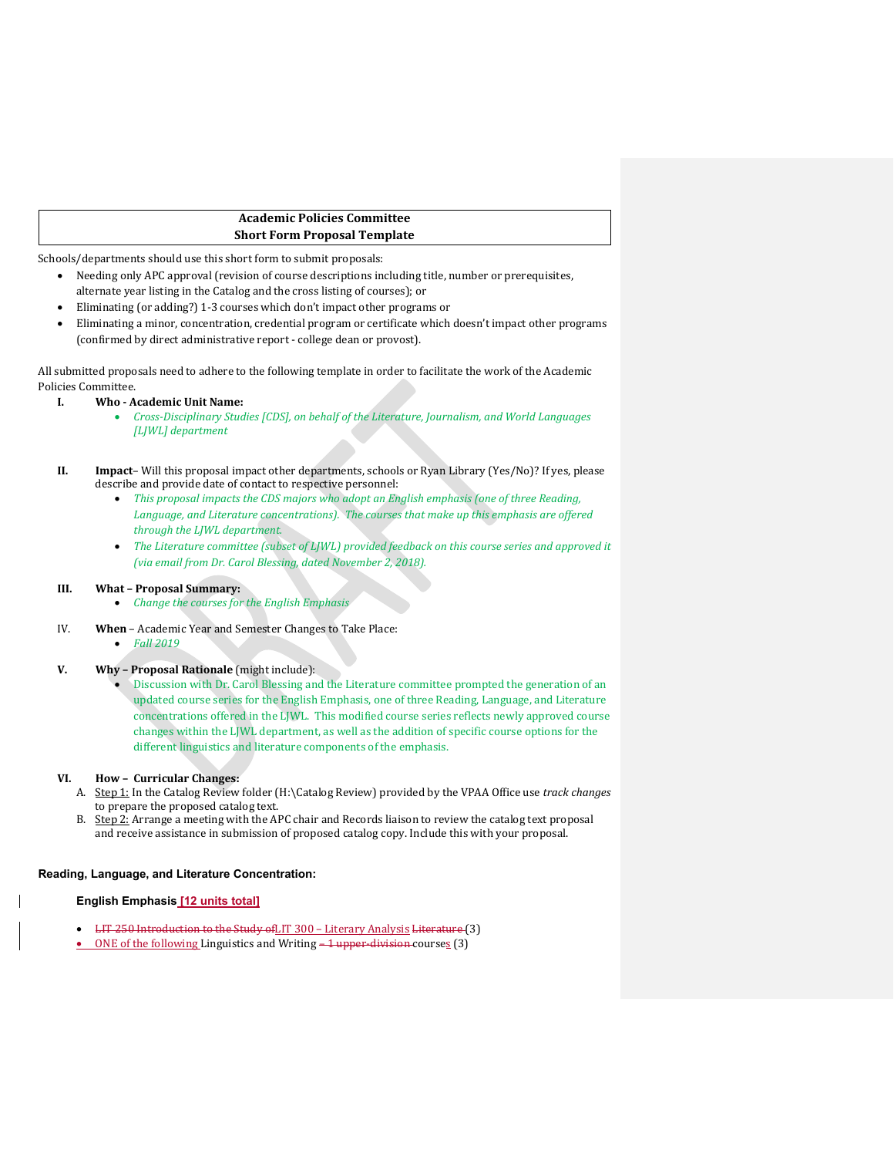# **Academic Policies Committee Short Form Proposal Template**

Schools/departments should use this short form to submit proposals:

- Needing only APC approval (revision of course descriptions including title, number or prerequisites, alternate year listing in the Catalog and the cross listing of courses); or
- Eliminating (or adding?) 1-3 courses which don't impact other programs or
- Eliminating a minor, concentration, credential program or certificate which doesn't impact other programs (confirmed by direct administrative report - college dean or provost).

All submitted proposals need to adhere to the following template in order to facilitate the work of the Academic Policies Committee.

## **I. Who - Academic Unit Name:**

• *Cross-Disciplinary Studies [CDS], on behalf of the Literature, Journalism, and World Languages [LJWL] department*

- *This proposal impacts the CDS majors who adopt an English emphasis (one of three Reading,*  Language, and Literature concentrations). The courses that make up this emphasis are offered *through the LJWL department.*
- The Literature committee (subset of LJWL) provided feedback on this course series and approved it *(via email from Dr. Carol Blessing, dated November 2, 2018).*

#### **III. What – Proposal Summary:**

- *Change the courses for the English Emphasis*
- IV. **When** Academic Year and Semester Changes to Take Place:
	- *Fall 2019*

# **V. Why – Proposal Rationale** (might include):

• Discussion with Dr. Carol Blessing and the Literature committee prompted the generation of an updated course series for the English Emphasis, one of three Reading, Language, and Literature concentrations offered in the LJWL. This modified course series reflects newly approved course changes within the LJWL department, as well as the addition of specific course options for the different linguistics and literature components of the emphasis.

### **VI. How – Curricular Changes:**

- A. Step 1: In the Catalog Review folder (H:\Catalog Review) provided by the VPAA Office use *track changes* to prepare the proposed catalog text.
- B. Step 2: Arrange a meeting with the APC chair and Records liaison to review the catalog text proposal and receive assistance in submission of proposed catalog copy. Include this with your proposal.

### **Reading, Language, and Literature Concentration:**

### **English Emphasis [12 units total]**

- LIT 250 Introduction to the Study ofLIT 300 Literary Analysis Literature (3)
- ONE of the following Linguistics and Writing -1 upper-division-courses (3)

**II. Impact**– Will this proposal impact other departments, schools or Ryan Library (Yes/No)? If yes, please describe and provide date of contact to respective personnel: